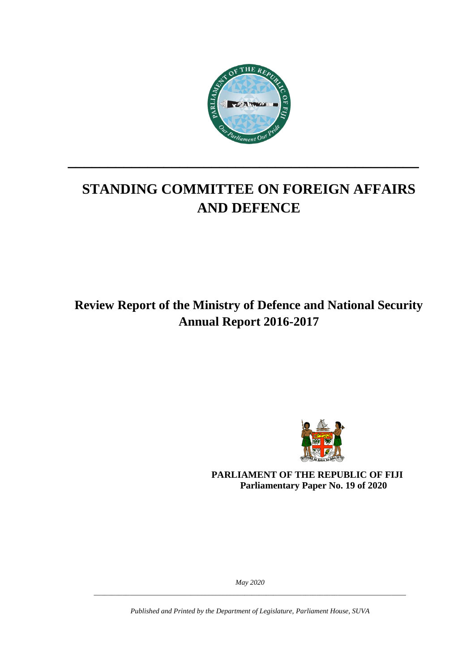

# **STANDING COMMITTEE ON FOREIGN AFFAIRS AND DEFENCE**

**\_\_\_\_\_\_\_\_\_\_\_\_\_\_\_\_\_\_\_\_\_\_\_\_\_\_\_\_\_\_\_\_\_\_\_\_\_\_\_\_\_\_\_\_**

**Review Report of the Ministry of Defence and National Security Annual Report 2016-2017**



**PARLIAMENT OF THE REPUBLIC OF FIJI Parliamentary Paper No. 19 of 2020**

*May 2020 \_\_\_\_\_\_\_\_\_\_\_\_\_\_\_\_\_\_\_\_\_\_\_\_\_\_\_\_\_\_\_\_\_\_\_\_\_\_\_\_\_\_\_\_\_\_\_\_\_\_\_\_\_\_\_\_\_\_\_\_\_\_\_\_\_\_\_\_\_\_\_\_\_\_\_\_\_\_\_\_\_\_\_\_\_\_\_*

*Published and Printed by the Department of Legislature, Parliament House, SUVA*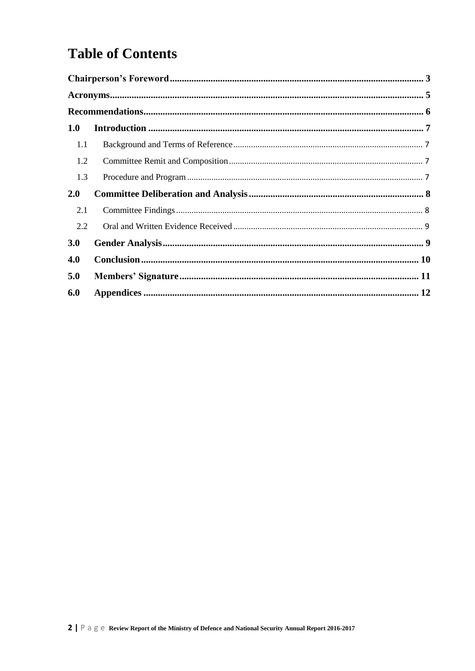# **Table of Contents**

| 1.0 |  |
|-----|--|
| 1.1 |  |
| 1.2 |  |
| 1.3 |  |
| 2.0 |  |
| 2.1 |  |
| 2.2 |  |
| 3.0 |  |
| 4.0 |  |
| 5.0 |  |
| 6.0 |  |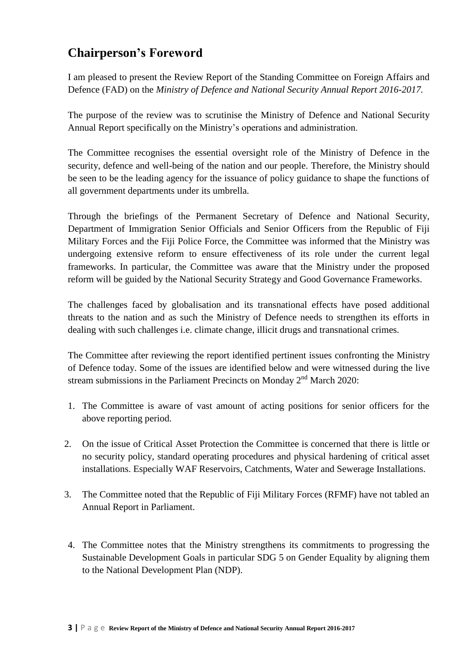## <span id="page-2-0"></span>**Chairperson's Foreword**

I am pleased to present the Review Report of the Standing Committee on Foreign Affairs and Defence (FAD) on the *Ministry of Defence and National Security Annual Report 2016-2017.* 

The purpose of the review was to scrutinise the Ministry of Defence and National Security Annual Report specifically on the Ministry's operations and administration.

The Committee recognises the essential oversight role of the Ministry of Defence in the security, defence and well-being of the nation and our people. Therefore, the Ministry should be seen to be the leading agency for the issuance of policy guidance to shape the functions of all government departments under its umbrella.

Through the briefings of the Permanent Secretary of Defence and National Security, Department of Immigration Senior Officials and Senior Officers from the Republic of Fiji Military Forces and the Fiji Police Force, the Committee was informed that the Ministry was undergoing extensive reform to ensure effectiveness of its role under the current legal frameworks. In particular, the Committee was aware that the Ministry under the proposed reform will be guided by the National Security Strategy and Good Governance Frameworks.

The challenges faced by globalisation and its transnational effects have posed additional threats to the nation and as such the Ministry of Defence needs to strengthen its efforts in dealing with such challenges i.e. climate change, illicit drugs and transnational crimes.

The Committee after reviewing the report identified pertinent issues confronting the Ministry of Defence today. Some of the issues are identified below and were witnessed during the live stream submissions in the Parliament Precincts on Monday  $2<sup>nd</sup>$  March 2020:

- 1. The Committee is aware of vast amount of acting positions for senior officers for the above reporting period.
- 2. On the issue of Critical Asset Protection the Committee is concerned that there is little or no security policy, standard operating procedures and physical hardening of critical asset installations. Especially WAF Reservoirs, Catchments, Water and Sewerage Installations.
- 3. The Committee noted that the Republic of Fiji Military Forces (RFMF) have not tabled an Annual Report in Parliament.
- 4. The Committee notes that the Ministry strengthens its commitments to progressing the Sustainable Development Goals in particular SDG 5 on Gender Equality by aligning them to the National Development Plan (NDP).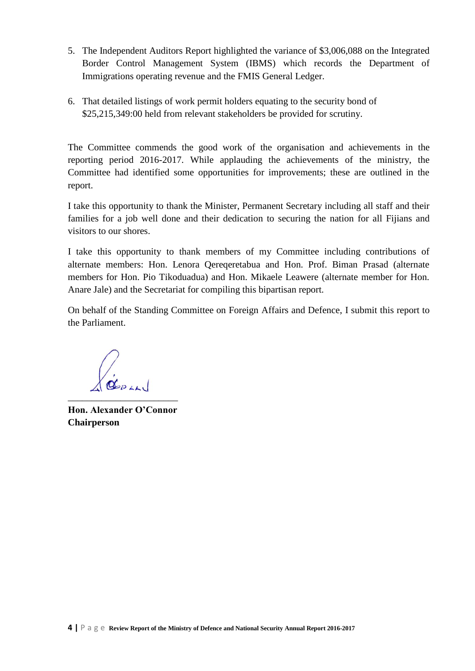- 5. The Independent Auditors Report highlighted the variance of \$3,006,088 on the Integrated Border Control Management System (IBMS) which records the Department of Immigrations operating revenue and the FMIS General Ledger.
- 6. That detailed listings of work permit holders equating to the security bond of \$25,215,349:00 held from relevant stakeholders be provided for scrutiny.

The Committee commends the good work of the organisation and achievements in the reporting period 2016-2017. While applauding the achievements of the ministry, the Committee had identified some opportunities for improvements; these are outlined in the report.

I take this opportunity to thank the Minister, Permanent Secretary including all staff and their families for a job well done and their dedication to securing the nation for all Fijians and visitors to our shores.

I take this opportunity to thank members of my Committee including contributions of alternate members: Hon. Lenora Qereqeretabua and Hon. Prof. Biman Prasad (alternate members for Hon. Pio Tikoduadua) and Hon. Mikaele Leawere (alternate member for Hon. Anare Jale) and the Secretariat for compiling this bipartisan report.

On behalf of the Standing Committee on Foreign Affairs and Defence, I submit this report to the Parliament.

\_\_\_\_\_\_\_\_\_\_\_\_\_\_\_\_\_\_\_\_\_\_\_

**Hon. Alexander O'Connor Chairperson**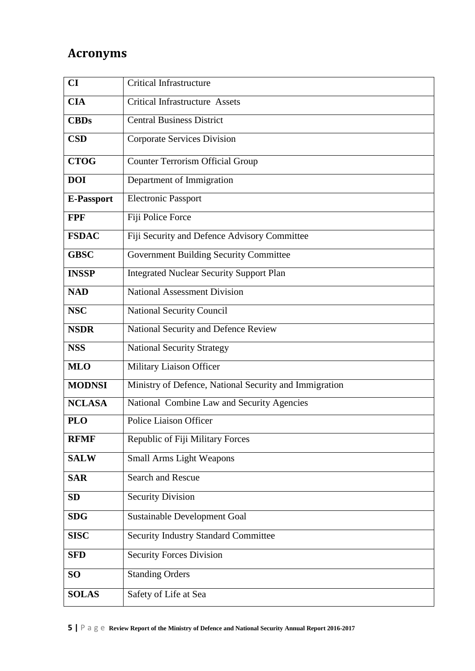## <span id="page-4-0"></span>**Acronyms**

| CI                | Critical Infrastructure                                |  |  |  |  |
|-------------------|--------------------------------------------------------|--|--|--|--|
| <b>CIA</b>        | <b>Critical Infrastructure Assets</b>                  |  |  |  |  |
| <b>CBDs</b>       | <b>Central Business District</b>                       |  |  |  |  |
| <b>CSD</b>        | <b>Corporate Services Division</b>                     |  |  |  |  |
| <b>CTOG</b>       | <b>Counter Terrorism Official Group</b>                |  |  |  |  |
| <b>DOI</b>        | Department of Immigration                              |  |  |  |  |
| <b>E-Passport</b> | <b>Electronic Passport</b>                             |  |  |  |  |
| <b>FPF</b>        | Fiji Police Force                                      |  |  |  |  |
| <b>FSDAC</b>      | Fiji Security and Defence Advisory Committee           |  |  |  |  |
| <b>GBSC</b>       | <b>Government Building Security Committee</b>          |  |  |  |  |
| <b>INSSP</b>      | <b>Integrated Nuclear Security Support Plan</b>        |  |  |  |  |
| <b>NAD</b>        | <b>National Assessment Division</b>                    |  |  |  |  |
| <b>NSC</b>        | National Security Council                              |  |  |  |  |
| <b>NSDR</b>       | National Security and Defence Review                   |  |  |  |  |
| <b>NSS</b>        | <b>National Security Strategy</b>                      |  |  |  |  |
| <b>MLO</b>        | Military Liaison Officer                               |  |  |  |  |
| <b>MODNSI</b>     | Ministry of Defence, National Security and Immigration |  |  |  |  |
| <b>NCLASA</b>     | National Combine Law and Security Agencies             |  |  |  |  |
| <b>PLO</b>        | <b>Police Liaison Officer</b>                          |  |  |  |  |
| <b>RFMF</b>       | Republic of Fiji Military Forces                       |  |  |  |  |
| <b>SALW</b>       | <b>Small Arms Light Weapons</b>                        |  |  |  |  |
| <b>SAR</b>        | Search and Rescue                                      |  |  |  |  |
| <b>SD</b>         | <b>Security Division</b>                               |  |  |  |  |
| <b>SDG</b>        | <b>Sustainable Development Goal</b>                    |  |  |  |  |
| <b>SISC</b>       | <b>Security Industry Standard Committee</b>            |  |  |  |  |
| <b>SFD</b>        | <b>Security Forces Division</b>                        |  |  |  |  |
| <b>SO</b>         | <b>Standing Orders</b>                                 |  |  |  |  |
| <b>SOLAS</b>      | Safety of Life at Sea                                  |  |  |  |  |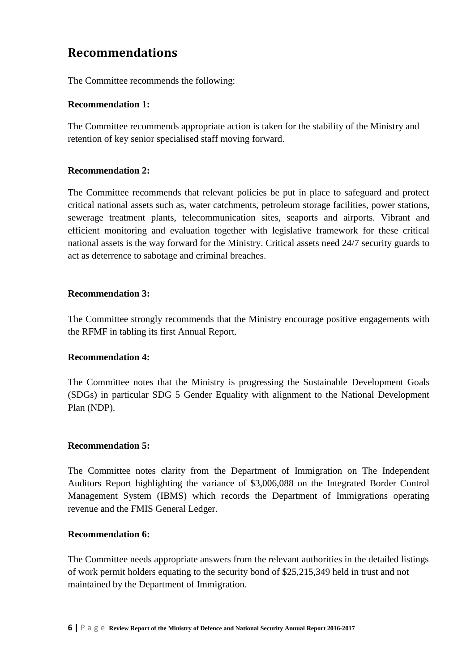## <span id="page-5-0"></span>**Recommendations**

The Committee recommends the following:

#### **Recommendation 1:**

The Committee recommends appropriate action is taken for the stability of the Ministry and retention of key senior specialised staff moving forward.

#### **Recommendation 2:**

The Committee recommends that relevant policies be put in place to safeguard and protect critical national assets such as, water catchments, petroleum storage facilities, power stations, sewerage treatment plants, telecommunication sites, seaports and airports. Vibrant and efficient monitoring and evaluation together with legislative framework for these critical national assets is the way forward for the Ministry. Critical assets need 24/7 security guards to act as deterrence to sabotage and criminal breaches.

#### **Recommendation 3:**

The Committee strongly recommends that the Ministry encourage positive engagements with the RFMF in tabling its first Annual Report.

#### **Recommendation 4:**

The Committee notes that the Ministry is progressing the Sustainable Development Goals (SDGs) in particular SDG 5 Gender Equality with alignment to the National Development Plan (NDP).

#### **Recommendation 5:**

The Committee notes clarity from the Department of Immigration on The Independent Auditors Report highlighting the variance of \$3,006,088 on the Integrated Border Control Management System (IBMS) which records the Department of Immigrations operating revenue and the FMIS General Ledger.

#### **Recommendation 6:**

The Committee needs appropriate answers from the relevant authorities in the detailed listings of work permit holders equating to the security bond of \$25,215,349 held in trust and not maintained by the Department of Immigration.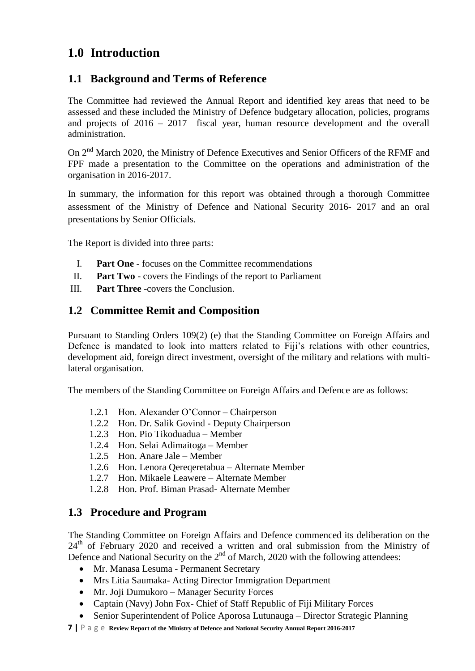## <span id="page-6-0"></span>**1.0 Introduction**

### <span id="page-6-1"></span>**1.1 Background and Terms of Reference**

The Committee had reviewed the Annual Report and identified key areas that need to be assessed and these included the Ministry of Defence budgetary allocation, policies, programs and projects of 2016 – 2017 fiscal year, human resource development and the overall administration.

On 2nd March 2020, the Ministry of Defence Executives and Senior Officers of the RFMF and FPF made a presentation to the Committee on the operations and administration of the organisation in 2016-2017.

In summary, the information for this report was obtained through a thorough Committee assessment of the Ministry of Defence and National Security 2016- 2017 and an oral presentations by Senior Officials.

The Report is divided into three parts:

- I. **Part One** focuses on the Committee recommendations
- II. **Part Two** covers the Findings of the report to Parliament
- III. **Part Three** -covers the Conclusion.

### <span id="page-6-2"></span>**1.2 Committee Remit and Composition**

Pursuant to Standing Orders 109(2) (e) that the Standing Committee on Foreign Affairs and Defence is mandated to look into matters related to Fiji's relations with other countries, development aid, foreign direct investment, oversight of the military and relations with multilateral organisation.

The members of the Standing Committee on Foreign Affairs and Defence are as follows:

- 1.2.1 Hon. Alexander O'Connor Chairperson
- 1.2.2 Hon. Dr. Salik Govind Deputy Chairperson
- 1.2.3 Hon. Pio Tikoduadua Member
- 1.2.4 Hon. Selai Adimaitoga Member
- 1.2.5 Hon. Anare Jale Member
- 1.2.6 Hon. Lenora Qereqeretabua Alternate Member
- 1.2.7 Hon. Mikaele Leawere Alternate Member
- 1.2.8 Hon. Prof. Biman Prasad- Alternate Member

### <span id="page-6-3"></span>**1.3 Procedure and Program**

The Standing Committee on Foreign Affairs and Defence commenced its deliberation on the 24<sup>th</sup> of February 2020 and received a written and oral submission from the Ministry of Defence and National Security on the  $2<sup>nd</sup>$  of March, 2020 with the following attendees:

- Mr. Manasa Lesuma Permanent Secretary
- Mrs Litia Saumaka- Acting Director Immigration Department
- Mr. Joji Dumukoro Manager Security Forces
- Captain (Navy) John Fox- Chief of Staff Republic of Fiji Military Forces
- Senior Superintendent of Police Aporosa Lutunauga Director Strategic Planning
- **7 |** P a g e **Review Report of the Ministry of Defence and National Security Annual Report 2016-2017**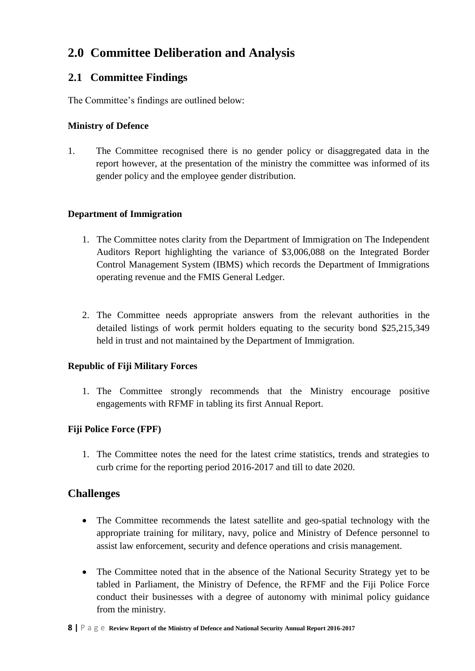## <span id="page-7-0"></span>**2.0 Committee Deliberation and Analysis**

### <span id="page-7-1"></span>**2.1 Committee Findings**

The Committee's findings are outlined below:

#### **Ministry of Defence**

1. The Committee recognised there is no gender policy or disaggregated data in the report however, at the presentation of the ministry the committee was informed of its gender policy and the employee gender distribution.

#### **Department of Immigration**

- 1. The Committee notes clarity from the Department of Immigration on The Independent Auditors Report highlighting the variance of \$3,006,088 on the Integrated Border Control Management System (IBMS) which records the Department of Immigrations operating revenue and the FMIS General Ledger.
- 2. The Committee needs appropriate answers from the relevant authorities in the detailed listings of work permit holders equating to the security bond \$25,215,349 held in trust and not maintained by the Department of Immigration.

### **Republic of Fiji Military Forces**

1. The Committee strongly recommends that the Ministry encourage positive engagements with RFMF in tabling its first Annual Report.

### **Fiji Police Force (FPF)**

1. The Committee notes the need for the latest crime statistics, trends and strategies to curb crime for the reporting period 2016-2017 and till to date 2020.

### **Challenges**

- The Committee recommends the latest satellite and geo-spatial technology with the appropriate training for military, navy, police and Ministry of Defence personnel to assist law enforcement, security and defence operations and crisis management.
- The Committee noted that in the absence of the National Security Strategy yet to be tabled in Parliament, the Ministry of Defence, the RFMF and the Fiji Police Force conduct their businesses with a degree of autonomy with minimal policy guidance from the ministry.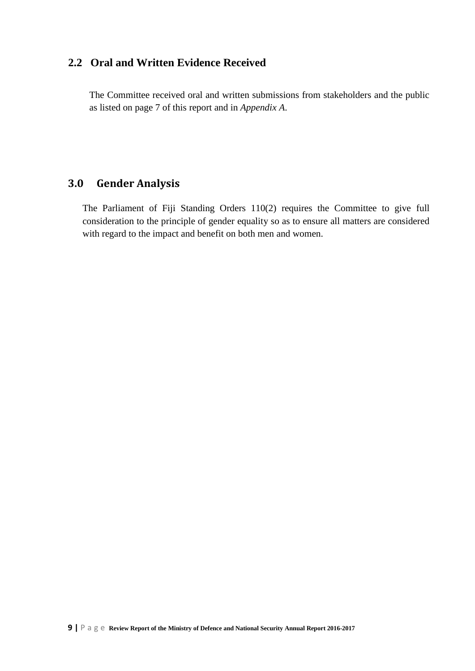### <span id="page-8-0"></span>**2.2 Oral and Written Evidence Received**

The Committee received oral and written submissions from stakeholders and the public as listed on page 7 of this report and in *Appendix A*.

### <span id="page-8-1"></span>**3.0 Gender Analysis**

The Parliament of Fiji Standing Orders 110(2) requires the Committee to give full consideration to the principle of gender equality so as to ensure all matters are considered with regard to the impact and benefit on both men and women.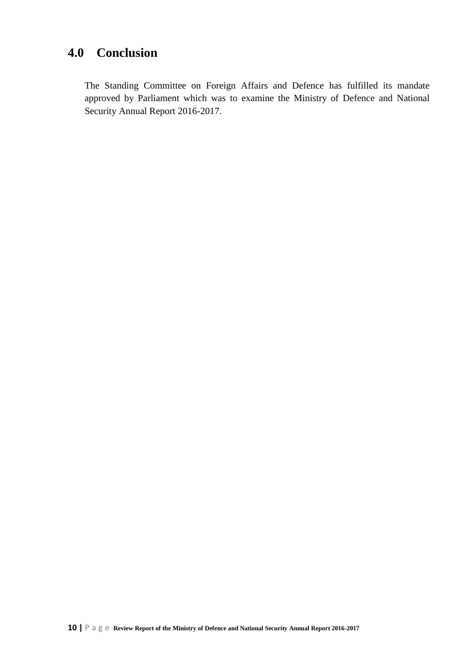## <span id="page-9-0"></span>**4.0 Conclusion**

The Standing Committee on Foreign Affairs and Defence has fulfilled its mandate approved by Parliament which was to examine the Ministry of Defence and National Security Annual Report 2016-2017.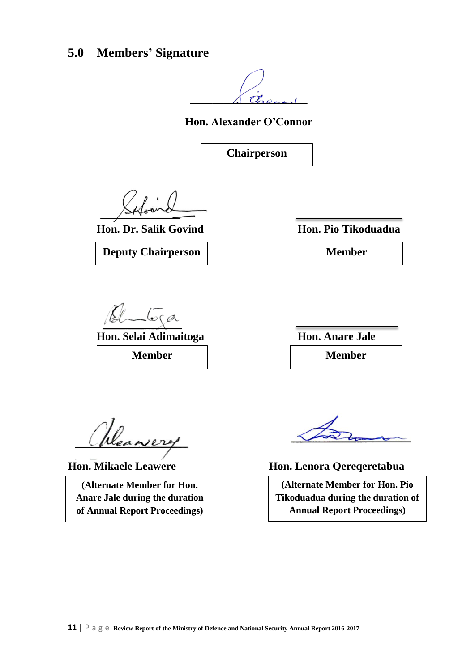## <span id="page-10-0"></span>**5.0 Members' Signature**

 $\dot{c}$ 

**Hon. Alexander O'Connor**

**Chairperson**

**Hon. Dr. Salik Govind Hon. Pio Tikoduadua**



 $\sqrt{\sigma}$ ca

**Hon. Selai Adimaitoga Hon. Anare Jale Member Member**

Heawery

**(Alternate Member for Hon. Anare Jale during the duration of Annual Report Proceedings)**

**Hon. Mikaele Leawere Hon. Lenora Qereqeretabua**

**(Alternate Member for Hon. Pio Tikoduadua during the duration of Annual Report Proceedings)**